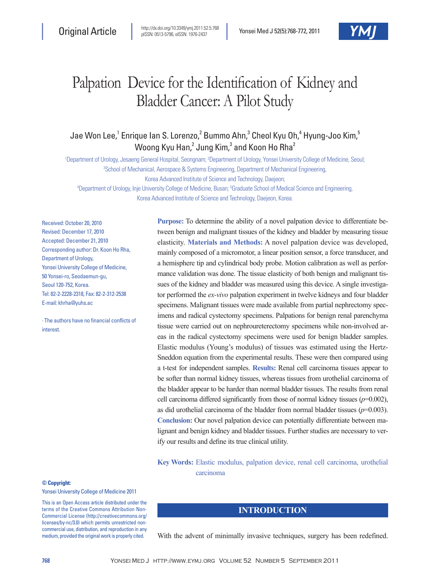# Palpation Device for the Identification of Kidney and Bladder Cancer: A Pilot Study

Jae Won Lee,<sup>1</sup> Enrique Ian S. Lorenzo,<sup>2</sup> Bummo Ahn,<sup>3</sup> Cheol Kyu Oh,<sup>4</sup> Hyung-Joo Kim,<sup>5</sup> Woong Kyu Han, $^2$  Jung Kim, $^3$  and Koon Ho Rha $^2$ 

<sup>1</sup>Department of Urology, Jesaeng General Hospital, Seongnam; <sup>2</sup>Department of Urology, Yonsei University College of Medicine, Seoul; <sup>3</sup>School of Mechanical, Aerospace & Systems Engineering, Department of Mechanical Engineering, Korea Advanced Institute of Science and Technology, Daejeon; 4 Department of Urology, Inje University College of Medicine, Busan; 5 Graduate School of Medical Science and Engineering,

Korea Advanced Institute of Science and Technology, Daejeon, Korea.

Received: October 20, 2010 Revised: December 17, 2010 Accepted: December 21, 2010 Corresponding author: Dr. Koon Ho Rha, Department of Urology, Yonsei University College of Medicine, 50 Yonsei-ro, Seodaemun-gu, Seoul 120-752, Korea. Tel: 82-2-2228-2318, Fax: 82-2-312-2538 E-mail: khrha@yuhs.ac

∙ The authors have no financial conflicts of interest.

## **Purpose:** To determine the ability of a novel palpation device to differentiate between benign and malignant tissues of the kidney and bladder by measuring tissue elasticity. **Materials and Methods:** A novel palpation device was developed, mainly composed of a micromotor, a linear position sensor, a force transducer, and a hemisphere tip and cylindrical body probe. Motion calibration as well as performance validation was done. The tissue elasticity of both benign and malignant tissues of the kidney and bladder was measured using this device. A single investigator performed the *ex-vivo* palpation experiment in twelve kidneys and four bladder specimens. Malignant tissues were made available from partial nephrectomy specimens and radical cystectomy specimens. Palpations for benign renal parenchyma tissue were carried out on nephroureterectomy specimens while non-involved areas in the radical cystectomy specimens were used for benign bladder samples. Elastic modulus (Young's modulus) of tissues was estimated using the Hertz-Sneddon equation from the experimental results. These were then compared using a t-test for independent samples. **Results:** Renal cell carcinoma tissues appear to be softer than normal kidney tissues, whereas tissues from urothelial carcinoma of the bladder appear to be harder than normal bladder tissues. The results from renal cell carcinoma differed significantly from those of normal kidney tissues  $(p=0.002)$ , as did urothelial carcinoma of the bladder from normal bladder tissues  $(p=0.003)$ . **Conclusion:** Our novel palpation device can potentially differentiate between malignant and benign kidney and bladder tissues. Further studies are necessary to verify our results and define its true clinical utility.

**Key Words:** Elastic modulus, palpation device, renal cell carcinoma, urothelial carcinoma

#### **© Copyright:**

Yonsei University College of Medicine 2011

This is an Open Access article distributed under the terms of the Creative Commons Attribution Non-Commercial License (http://creativecommons.org/ licenses/by-nc/3.0) which permits unrestricted noncommercial use, distribution, and reproduction in any medium, provided the original work is properly cited.

## **INTRODUCTION**

With the advent of minimally invasive techniques, surgery has been redefined.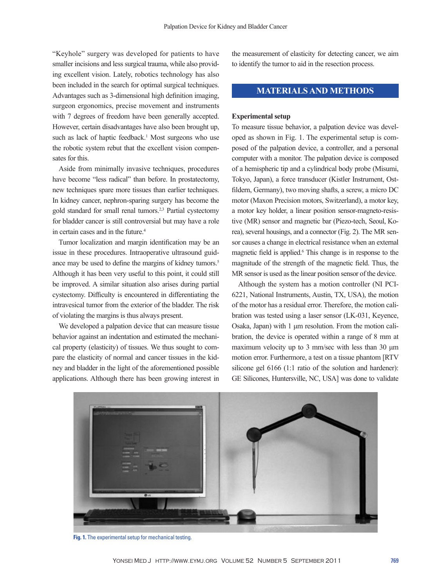"Keyhole" surgery was developed for patients to have smaller incisions and less surgical trauma, while also providing excellent vision. Lately, robotics technology has also been included in the search for optimal surgical techniques. Advantages such as 3-dimensional high definition imaging, surgeon ergonomics, precise movement and instruments with 7 degrees of freedom have been generally accepted. However, certain disadvantages have also been brought up, such as lack of haptic feedback.<sup>1</sup> Most surgeons who use the robotic system rebut that the excellent vision compensates for this.

Aside from minimally invasive techniques, procedures have become "less radical" than before. In prostatectomy, new techniques spare more tissues than earlier techniques. In kidney cancer, nephron-sparing surgery has become the gold standard for small renal tumors.2,3 Partial cystectomy for bladder cancer is still controversial but may have a role in certain cases and in the future. $4$ 

Tumor localization and margin identification may be an issue in these procedures. Intraoperative ultrasound guidance may be used to define the margins of kidney tumors.<sup>5</sup> Although it has been very useful to this point, it could still be improved. A similar situation also arises during partial cystectomy. Difficulty is encountered in differentiating the intravesical tumor from the exterior of the bladder. The risk of violating the margins is thus always present.

We developed a palpation device that can measure tissue behavior against an indentation and estimated the mechanical property (elasticity) of tissues. We thus sought to compare the elasticity of normal and cancer tissues in the kidney and bladder in the light of the aforementioned possible applications. Although there has been growing interest in

the measurement of elasticity for detecting cancer, we aim to identify the tumor to aid in the resection process.

## **MATERIALS AND METHODS**

#### **Experimental setup**

To measure tissue behavior, a palpation device was developed as shown in Fig. 1. The experimental setup is composed of the palpation device, a controller, and a personal computer with a monitor. The palpation device is composed of a hemispheric tip and a cylindrical body probe (Misumi, Tokyo, Japan), a force transducer (Kistler Instrument, Ostfildern, Germany), two moving shafts, a screw, a micro DC motor (Maxon Precision motors, Switzerland), a motor key, a motor key holder, a linear position sensor-magneto-resistive (MR) sensor and magnetic bar (Piezo-tech, Seoul, Korea), several housings, and a connector (Fig. 2). The MR sensor causes a change in electrical resistance when an external magnetic field is applied.<sup>6</sup> This change is in response to the magnitude of the strength of the magnetic field. Thus, the MR sensor is used as the linear position sensor of the device.

Although the system has a motion controller (NI PCI-6221, National Instruments, Austin, TX, USA), the motion of the motor has a residual error. Therefore, the motion calibration was tested using a laser sensor (LK-031, Keyence, Osaka, Japan) with 1 μm resolution. From the motion calibration, the device is operated within a range of 8 mm at maximum velocity up to 3 mm/sec with less than 30 μm motion error. Furthermore, a test on a tissue phantom [RTV silicone gel 6166 (1:1 ratio of the solution and hardener): GE Silicones, Huntersville, NC, USA] was done to validate



**Fig. 1.** The experimental setup for mechanical testing.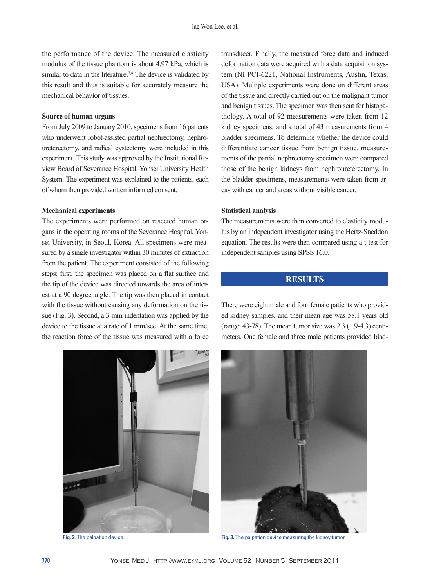the performance of the device. The measured elasticity modulus of the tissue phantom is about 4.97 kPa, which is similar to data in the literature.<sup>7,8</sup> The device is validated by this result and thus is suitable for accurately measure the mechanical behavior of tissues.

#### **Source of human organs**

From July 2009 to January 2010, specimens from 16 patients who underwent robot-assisted partial nephrectomy, nephroureterectomy, and radical cystectomy were included in this experiment. This study was approved by the Institutional Review Board of Severance Hospital, Yonsei University Health System. The experiment was explained to the patients, each of whom then provided written informed consent.

#### **Mechanical experiments**

The experiments were performed on resected human organs in the operating rooms of the Severance Hospital, Yonsei University, in Seoul, Korea. All specimens were measured by a single investigator within 30 minutes of extraction from the patient. The experiment consisted of the following steps: first, the specimen was placed on a flat surface and the tip of the device was directed towards the area of interest at a 90 degree angle. The tip was then placed in contact with the tissue without causing any deformation on the tissue (Fig. 3). Second, a 3 mm indentation was applied by the device to the tissue at a rate of 1 mm/sec. At the same time, the reaction force of the tissue was measured with a force



transducer. Finally, the measured force data and induced deformation data were acquired with a data acquisition system (NI PCI-6221, National Instruments, Austin, Texas, USA). Multiple experiments were done on different areas of the tissue and directly carried out on the malignant tumor and benign tissues. The specimen was then sent for histopathology. A total of 92 measurements were taken from 12 kidney specimens, and a total of 43 measurements from 4 bladder specimens. To determine whether the device could differentiate cancer tissue from benign tissue, measurements of the partial nephrectomy specimen were compared those of the benign kidneys from nephroureterectomy. In the bladder specimens, measurements were taken from areas with cancer and areas without visible cancer.

#### **Statistical analysis**

The measurements were then converted to elasticity modulus by an independent investigator using the Hertz-Sneddon equation. The results were then compared using a t-test for independent samples using SPSS 16.0.

## **RESULTS**

There were eight male and four female patients who provided kidney samples, and their mean age was 58.1 years old (range: 43-78). The mean tumor size was 2.3 (1.9-4.3) centimeters. One female and three male patients provided blad-



**Fig. 2**. The palpation device. **Fig. 3.** The palpation device measuring the kidney tumor.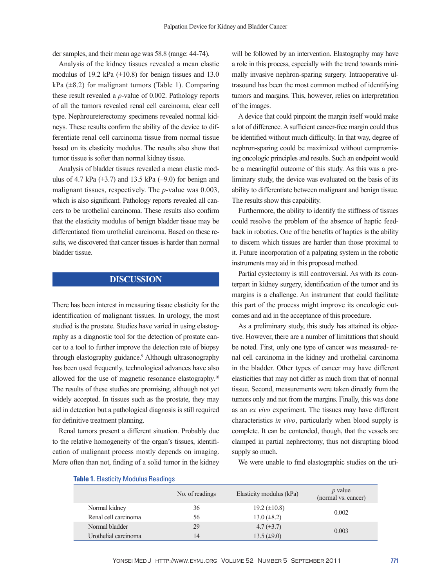der samples, and their mean age was 58.8 (range: 44-74).

Analysis of the kidney tissues revealed a mean elastic modulus of 19.2 kPa  $(\pm 10.8)$  for benign tissues and 13.0  $kPa$  ( $\pm$ 8.2) for malignant tumors (Table 1). Comparing these result revealed a *p*-value of 0.002. Pathology reports of all the tumors revealed renal cell carcinoma, clear cell type. Nephroureterectomy specimens revealed normal kidneys. These results confirm the ability of the device to differentiate renal cell carcinoma tissue from normal tissue based on its elasticity modulus. The results also show that tumor tissue is softer than normal kidney tissue.

Analysis of bladder tissues revealed a mean elastic modulus of 4.7 kPa  $(\pm 3.7)$  and 13.5 kPa  $(\pm 9.0)$  for benign and malignant tissues, respectively. The *p*-value was 0.003, which is also significant. Pathology reports revealed all cancers to be urothelial carcinoma. These results also confirm that the elasticity modulus of benign bladder tissue may be differentiated from urothelial carcinoma. Based on these results, we discovered that cancer tissues is harder than normal bladder tissue.

## **DISCUSSION**

There has been interest in measuring tissue elasticity for the identification of malignant tissues. In urology, the most studied is the prostate. Studies have varied in using elastography as a diagnostic tool for the detection of prostate cancer to a tool to further improve the detection rate of biopsy through elastography guidance.<sup>9</sup> Although ultrasonography has been used frequently, technological advances have also allowed for the use of magnetic resonance elastography.10 The results of these studies are promising, although not yet widely accepted. In tissues such as the prostate, they may aid in detection but a pathological diagnosis is still required for definitive treatment planning.

Renal tumors present a different situation. Probably due to the relative homogeneity of the organ's tissues, identification of malignant process mostly depends on imaging. More often than not, finding of a solid tumor in the kidney

will be followed by an intervention. Elastography may have a role in this process, especially with the trend towards minimally invasive nephron-sparing surgery. Intraoperative ultrasound has been the most common method of identifying tumors and margins. This, however, relies on interpretation of the images.

A device that could pinpoint the margin itself would make a lot of difference. A sufficient cancer-free margin could thus be identified without much difficulty. In that way, degree of nephron-sparing could be maximized without compromising oncologic principles and results. Such an endpoint would be a meaningful outcome of this study. As this was a preliminary study, the device was evaluated on the basis of its ability to differentiate between malignant and benign tissue. The results show this capability.

Furthermore, the ability to identify the stiffness of tissues could resolve the problem of the absence of haptic feedback in robotics. One of the benefits of haptics is the ability to discern which tissues are harder than those proximal to it. Future incorporation of a palpating system in the robotic instruments may aid in this proposed method.

Partial cystectomy is still controversial. As with its counterpart in kidney surgery, identification of the tumor and its margins is a challenge. An instrument that could facilitate this part of the process might improve its oncologic outcomes and aid in the acceptance of this procedure.

As a preliminary study, this study has attained its objective. However, there are a number of limitations that should be noted. First, only one type of cancer was measured- renal cell carcinoma in the kidney and urothelial carcinoma in the bladder. Other types of cancer may have different elasticities that may not differ as much from that of normal tissue. Second, measurements were taken directly from the tumors only and not from the margins. Finally, this was done as an *ex vivo* experiment. The tissues may have different characteristics *in vivo*, particularly when blood supply is complete. It can be contended, though, that the vessels are clamped in partial nephrectomy, thus not disrupting blood supply so much.

We were unable to find elastographic studies on the uri-

|                      | No. of readings | Elasticity modulus (kPa) | $p$ value<br>(normal vs. cancer) |
|----------------------|-----------------|--------------------------|----------------------------------|
| Normal kidney        | 36              | $19.2 \ (\pm 10.8)$      | 0.002                            |
| Renal cell carcinoma | 56              | $13.0 \ (\pm 8.2)$       |                                  |
| Normal bladder       | 29              | $4.7 (\pm 3.7)$          | 0.003                            |
| Urothelial carcinoma | 14              | $13.5 \ (\pm 9.0)$       |                                  |